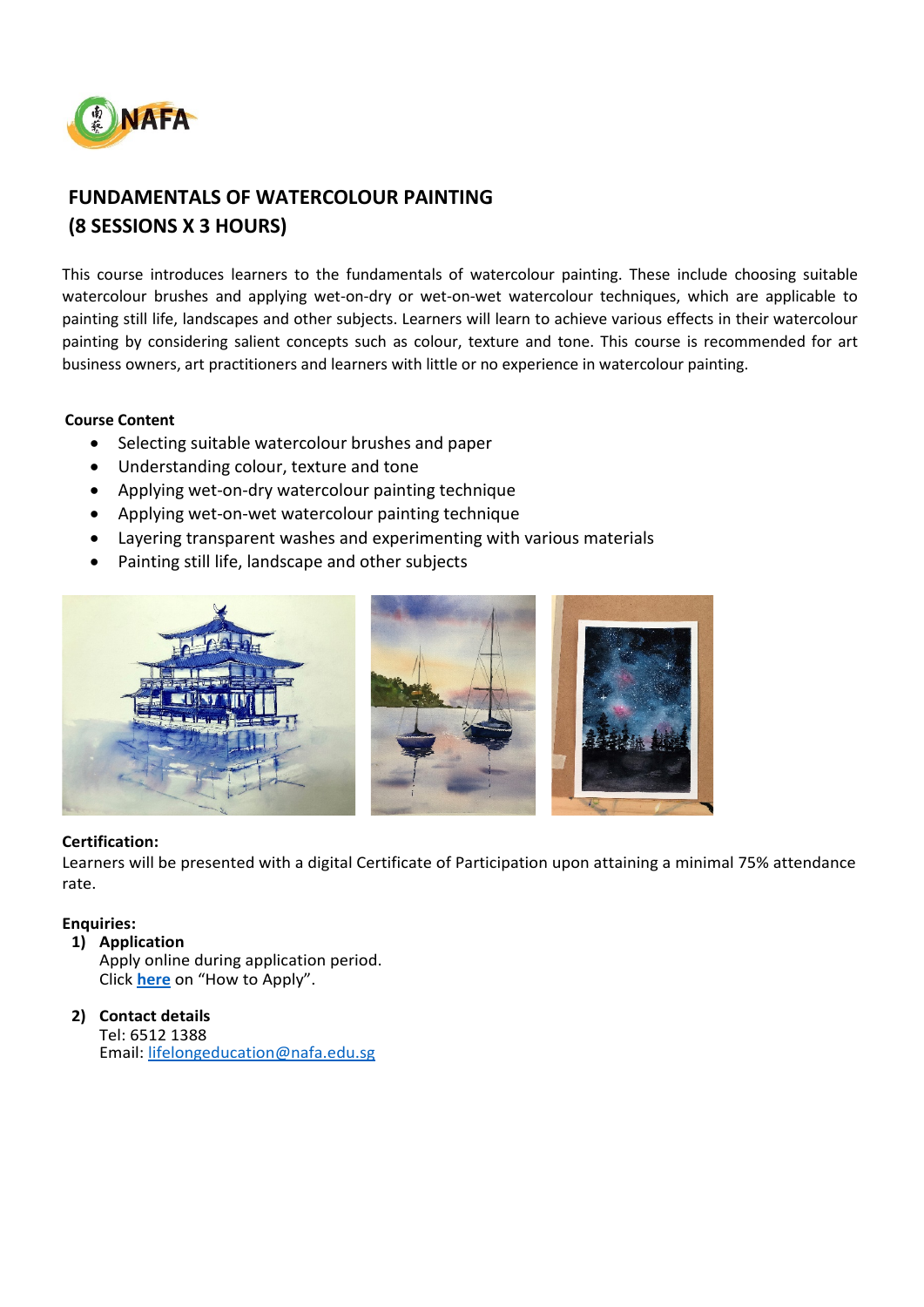

# **FUNDAMENTALS OF WATERCOLOUR PAINTING (8 SESSIONS X 3 HOURS)**

This course introduces learners to the fundamentals of watercolour painting. These include choosing suitable watercolour brushes and applying wet-on-dry or wet-on-wet watercolour techniques, which are applicable to painting still life, landscapes and other subjects. Learners will learn to achieve various effects in their watercolour painting by considering salient concepts such as colour, texture and tone. This course is recommended for art business owners, art practitioners and learners with little or no experience in watercolour painting.

#### **Course Content**

- Selecting suitable watercolour brushes and paper
- Understanding colour, texture and tone
- Applying wet-on-dry watercolour painting technique
- Applying wet-on-wet watercolour painting technique
- Layering transparent washes and experimenting with various materials
- Painting still life, landscape and other subjects



## **Certification:**

Learners will be presented with a digital Certificate of Participation upon attaining a minimal 75% attendance rate.

## **Enquiries:**

#### **1) Application**

Apply online during application period. Click **[here](https://www.nafa.edu.sg/courses/part-time/short-courses#collapseFive)** on "How to Apply".

# **2) Contact details**

Tel: 6512 1388 Email: [lifelongeducation@nafa.edu.sg](mailto:lifelongeducation@nafa.edu.sg)